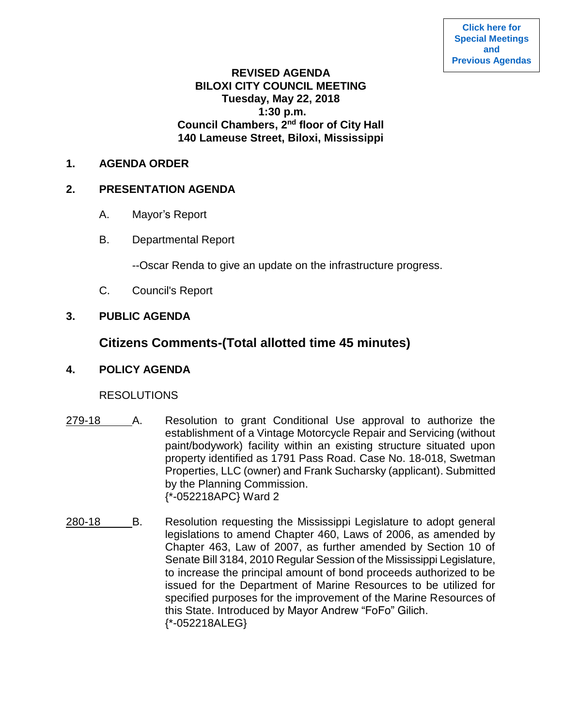## **REVISED AGENDA BILOXI CITY COUNCIL MEETING Tuesday, May 22, 2018 1:30 p.m. Council Chambers, 2nd floor of City Hall 140 Lameuse Street, Biloxi, Mississippi**

#### **1. AGENDA ORDER**

#### **2. PRESENTATION AGENDA**

- A. Mayor's Report
- B. Departmental Report

--Oscar Renda to give an update on the infrastructure progress.

C. Council's Report

## **3. PUBLIC AGENDA**

# **Citizens Comments-(Total allotted time 45 minutes)**

### **4. POLICY AGENDA**

## **RESOLUTIONS**

- 279-18 A. Resolution to grant Conditional Use approval to authorize the establishment of a Vintage Motorcycle Repair and Servicing (without paint/bodywork) facility within an existing structure situated upon property identified as 1791 Pass Road. Case No. 18-018, Swetman Properties, LLC (owner) and Frank Sucharsky (applicant). Submitted by the Planning Commission. {\*-052218APC} Ward 2
- 280-18 B. Resolution requesting the Mississippi Legislature to adopt general legislations to amend Chapter 460, Laws of 2006, as amended by Chapter 463, Law of 2007, as further amended by Section 10 of Senate Bill 3184, 2010 Regular Session of the Mississippi Legislature, to increase the principal amount of bond proceeds authorized to be issued for the Department of Marine Resources to be utilized for specified purposes for the improvement of the Marine Resources of this State. Introduced by Mayor Andrew "FoFo" Gilich. {\*-052218ALEG}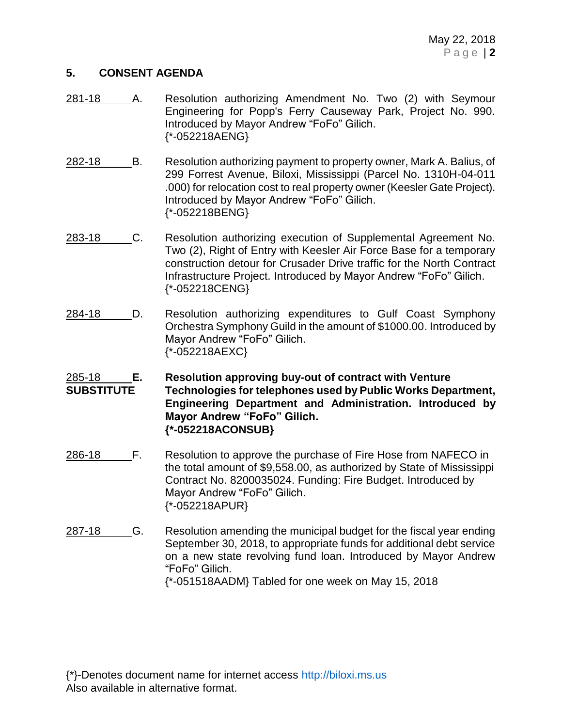#### **5. CONSENT AGENDA**

- 281-18 A. Resolution authorizing Amendment No. Two (2) with Seymour Engineering for Popp's Ferry Causeway Park, Project No. 990. Introduced by Mayor Andrew "FoFo" Gilich. {\*-052218AENG}
- 282-18 B. Resolution authorizing payment to property owner, Mark A. Balius, of 299 Forrest Avenue, Biloxi, Mississippi (Parcel No. 1310H-04-011 .000) for relocation cost to real property owner (Keesler Gate Project). Introduced by Mayor Andrew "FoFo" Gilich. {\*-052218BENG}
- 283-18 C. Resolution authorizing execution of Supplemental Agreement No. Two (2), Right of Entry with Keesler Air Force Base for a temporary construction detour for Crusader Drive traffic for the North Contract Infrastructure Project. Introduced by Mayor Andrew "FoFo" Gilich. {\*-052218CENG}
- 284-18 D. Resolution authorizing expenditures to Gulf Coast Symphony Orchestra Symphony Guild in the amount of \$1000.00. Introduced by Mayor Andrew "FoFo" Gilich. {\*-052218AEXC}
- 285-18 **E. Resolution approving buy-out of contract with Venture SUBSTITUTE Technologies for telephones used by Public Works Department, Engineering Department and Administration. Introduced by Mayor Andrew "FoFo" Gilich. {\*-052218ACONSUB}**
- 286-18 F. Resolution to approve the purchase of Fire Hose from NAFECO in the total amount of \$9,558.00, as authorized by State of Mississippi Contract No. 8200035024. Funding: Fire Budget. Introduced by Mayor Andrew "FoFo" Gilich. {\*-052218APUR}
- 287-18 G. Resolution amending the municipal budget for the fiscal year ending September 30, 2018, to appropriate funds for additional debt service on a new state revolving fund loan. Introduced by Mayor Andrew "FoFo" Gilich. {\*-051518AADM} Tabled for one week on May 15, 2018